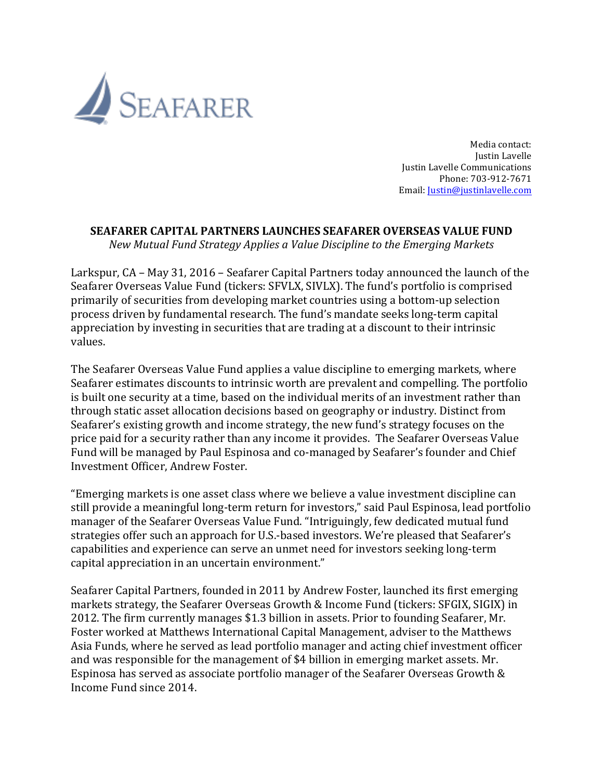

Media contact: Justin Lavelle Justin Lavelle Communications Phone: 703-912-7671 Email: *Justin@justinlavelle.com* 

## **SEAFARER CAPITAL PARTNERS LAUNCHES SEAFARER OVERSEAS VALUE FUND**

*New Mutual Fund Strategy Applies a Value Discipline to the Emerging Markets*

Larkspur, CA – May 31, 2016 – Seafarer Capital Partners today announced the launch of the Seafarer Overseas Value Fund (tickers: SFVLX, SIVLX). The fund's portfolio is comprised primarily of securities from developing market countries using a bottom-up selection process driven by fundamental research. The fund's mandate seeks long-term capital appreciation by investing in securities that are trading at a discount to their intrinsic values. 

The Seafarer Overseas Value Fund applies a value discipline to emerging markets, where Seafarer estimates discounts to intrinsic worth are prevalent and compelling. The portfolio is built one security at a time, based on the individual merits of an investment rather than through static asset allocation decisions based on geography or industry. Distinct from Seafarer's existing growth and income strategy, the new fund's strategy focuses on the price paid for a security rather than any income it provides. The Seafarer Overseas Value Fund will be managed by Paul Espinosa and co-managed by Seafarer's founder and Chief Investment Officer, Andrew Foster. 

"Emerging markets is one asset class where we believe a value investment discipline can still provide a meaningful long-term return for investors," said Paul Espinosa, lead portfolio manager of the Seafarer Overseas Value Fund. "Intriguingly, few dedicated mutual fund strategies offer such an approach for U.S.-based investors. We're pleased that Seafarer's capabilities and experience can serve an unmet need for investors seeking long-term capital appreciation in an uncertain environment."

Seafarer Capital Partners, founded in 2011 by Andrew Foster, launched its first emerging markets strategy, the Seafarer Overseas Growth & Income Fund (tickers: SFGIX, SIGIX) in 2012. The firm currently manages \$1.3 billion in assets. Prior to founding Seafarer, Mr. Foster worked at Matthews International Capital Management, adviser to the Matthews Asia Funds, where he served as lead portfolio manager and acting chief investment officer and was responsible for the management of \$4 billion in emerging market assets. Mr. Espinosa has served as associate portfolio manager of the Seafarer Overseas Growth & Income Fund since 2014.